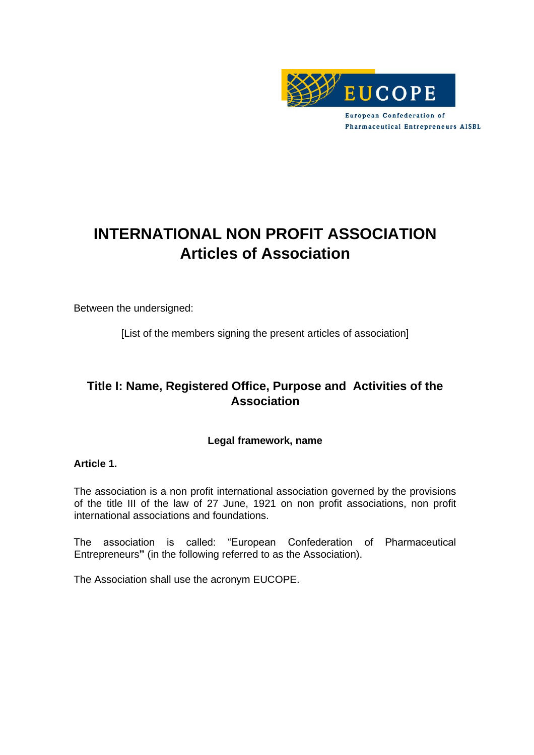

**European Confederation of Pharmaceutical Entrepreneurs AISBL** 

# **INTERNATIONAL NON PROFIT ASSOCIATION Articles of Association**

Between the undersigned:

[List of the members signing the present articles of association]

# **Title I: Name, Registered Office, Purpose and Activities of the Association**

# **Legal framework, name**

#### **Article 1.**

The association is a non profit international association governed by the provisions of the title III of the law of 27 June, 1921 on non profit associations, non profit international associations and foundations.

The association is called: "European Confederation of Pharmaceutical Entrepreneurs**"** (in the following referred to as the Association).

The Association shall use the acronym EUCOPE.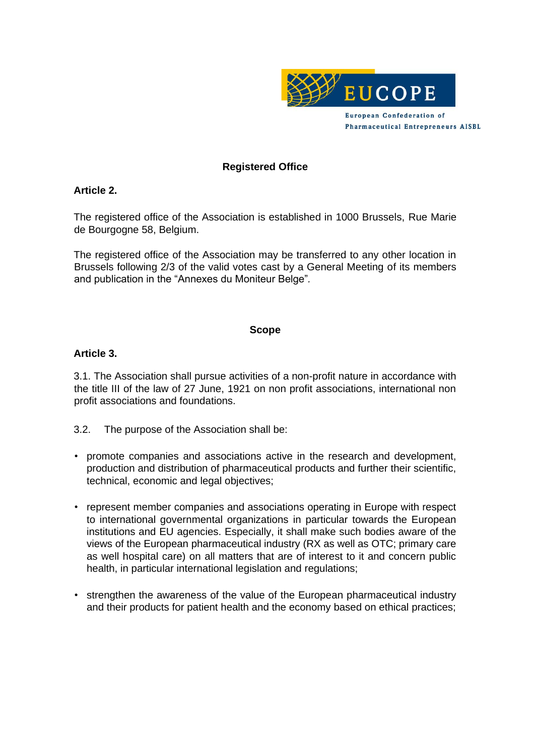

# **Registered Office**

#### **Article 2.**

The registered office of the Association is established in 1000 Brussels, Rue Marie de Bourgogne 58, Belgium.

The registered office of the Association may be transferred to any other location in Brussels following 2/3 of the valid votes cast by a General Meeting of its members and publication in the "Annexes du Moniteur Belge"*.*

#### **Scope**

#### **Article 3.**

3.1. The Association shall pursue activities of a non-profit nature in accordance with the title III of the law of 27 June, 1921 on non profit associations, international non profit associations and foundations.

3.2. The purpose of the Association shall be:

- promote companies and associations active in the research and development, production and distribution of pharmaceutical products and further their scientific, technical, economic and legal objectives;
- represent member companies and associations operating in Europe with respect to international governmental organizations in particular towards the European institutions and EU agencies. Especially, it shall make such bodies aware of the views of the European pharmaceutical industry (RX as well as OTC; primary care as well hospital care) on all matters that are of interest to it and concern public health, in particular international legislation and regulations;
- strengthen the awareness of the value of the European pharmaceutical industry and their products for patient health and the economy based on ethical practices;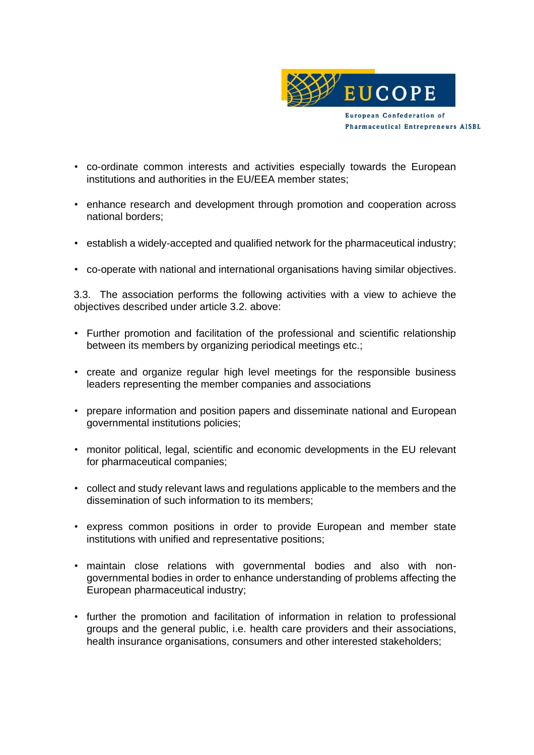

- co-ordinate common interests and activities especially towards the European institutions and authorities in the EU/EEA member states;
- enhance research and development through promotion and cooperation across national borders;
- establish a widely-accepted and qualified network for the pharmaceutical industry;
- co-operate with national and international organisations having similar objectives.

3.3. The association performs the following activities with a view to achieve the objectives described under article 3.2. above:

- Further promotion and facilitation of the professional and scientific relationship between its members by organizing periodical meetings etc.;
- create and organize regular high level meetings for the responsible business leaders representing the member companies and associations
- prepare information and position papers and disseminate national and European governmental institutions policies;
- monitor political, legal, scientific and economic developments in the EU relevant for pharmaceutical companies;
- collect and study relevant laws and regulations applicable to the members and the dissemination of such information to its members;
- express common positions in order to provide European and member state institutions with unified and representative positions;
- maintain close relations with governmental bodies and also with nongovernmental bodies in order to enhance understanding of problems affecting the European pharmaceutical industry;
- further the promotion and facilitation of information in relation to professional groups and the general public, i.e. health care providers and their associations, health insurance organisations, consumers and other interested stakeholders;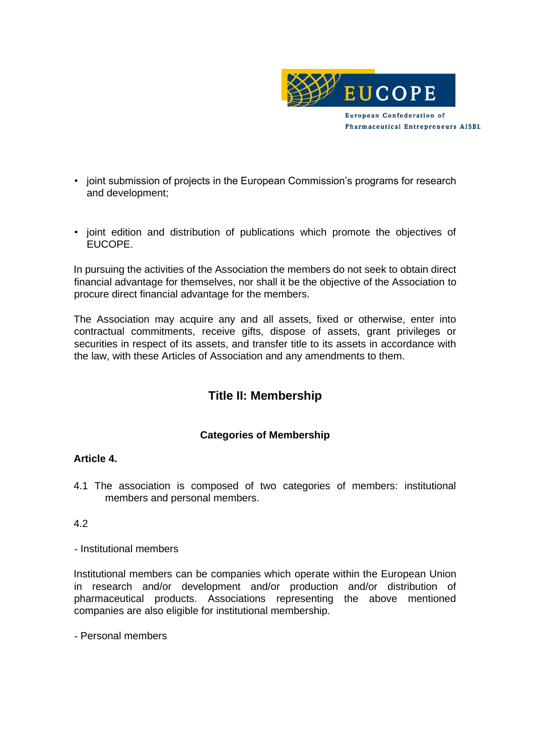

- joint submission of projects in the European Commission's programs for research and development;
- joint edition and distribution of publications which promote the objectives of EUCOPE.

In pursuing the activities of the Association the members do not seek to obtain direct financial advantage for themselves, nor shall it be the objective of the Association to procure direct financial advantage for the members.

The Association may acquire any and all assets, fixed or otherwise, enter into contractual commitments, receive gifts, dispose of assets, grant privileges or securities in respect of its assets, and transfer title to its assets in accordance with the law, with these Articles of Association and any amendments to them.

# **Title II: Membership**

# **Categories of Membership**

# **Article 4.**

4.1 The association is composed of two categories of members: institutional members and personal members.

#### 4.2

- Institutional members

Institutional members can be companies which operate within the European Union in research and/or development and/or production and/or distribution of pharmaceutical products. Associations representing the above mentioned companies are also eligible for institutional membership.

- Personal members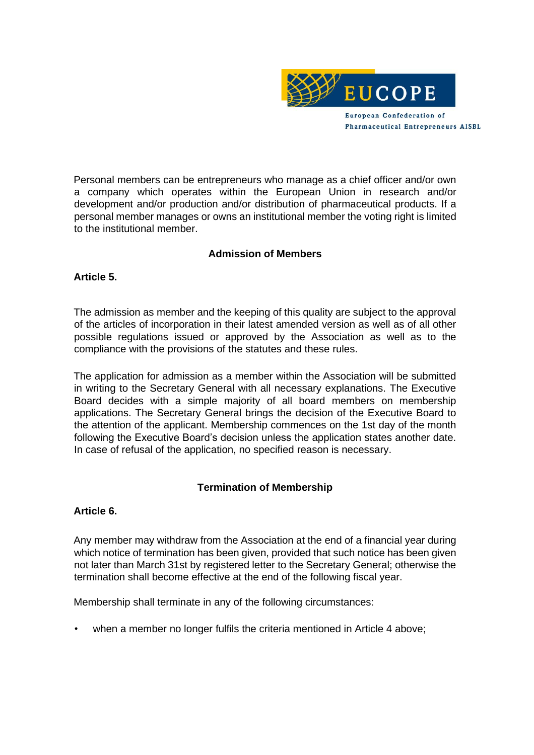

Personal members can be entrepreneurs who manage as a chief officer and/or own a company which operates within the European Union in research and/or development and/or production and/or distribution of pharmaceutical products. If a personal member manages or owns an institutional member the voting right is limited to the institutional member.

#### **Admission of Members**

# **Article 5.**

The admission as member and the keeping of this quality are subject to the approval of the articles of incorporation in their latest amended version as well as of all other possible regulations issued or approved by the Association as well as to the compliance with the provisions of the statutes and these rules.

The application for admission as a member within the Association will be submitted in writing to the Secretary General with all necessary explanations. The Executive Board decides with a simple majority of all board members on membership applications. The Secretary General brings the decision of the Executive Board to the attention of the applicant. Membership commences on the 1st day of the month following the Executive Board's decision unless the application states another date. In case of refusal of the application, no specified reason is necessary.

# **Termination of Membership**

#### **Article 6.**

Any member may withdraw from the Association at the end of a financial year during which notice of termination has been given, provided that such notice has been given not later than March 31st by registered letter to the Secretary General; otherwise the termination shall become effective at the end of the following fiscal year.

Membership shall terminate in any of the following circumstances:

when a member no longer fulfils the criteria mentioned in Article 4 above;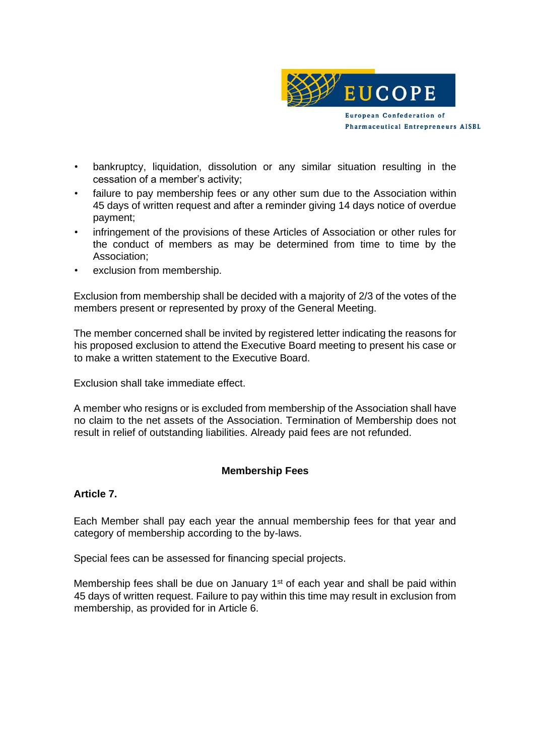

- bankruptcy, liquidation, dissolution or any similar situation resulting in the cessation of a member's activity;
- failure to pay membership fees or any other sum due to the Association within 45 days of written request and after a reminder giving 14 days notice of overdue payment;
- infringement of the provisions of these Articles of Association or other rules for the conduct of members as may be determined from time to time by the Association;
- exclusion from membership.

Exclusion from membership shall be decided with a majority of 2/3 of the votes of the members present or represented by proxy of the General Meeting.

The member concerned shall be invited by registered letter indicating the reasons for his proposed exclusion to attend the Executive Board meeting to present his case or to make a written statement to the Executive Board.

Exclusion shall take immediate effect.

A member who resigns or is excluded from membership of the Association shall have no claim to the net assets of the Association. Termination of Membership does not result in relief of outstanding liabilities. Already paid fees are not refunded.

# **Membership Fees**

#### **Article 7.**

Each Member shall pay each year the annual membership fees for that year and category of membership according to the by-laws.

Special fees can be assessed for financing special projects.

Membership fees shall be due on January 1<sup>st</sup> of each year and shall be paid within 45 days of written request. Failure to pay within this time may result in exclusion from membership, as provided for in Article 6.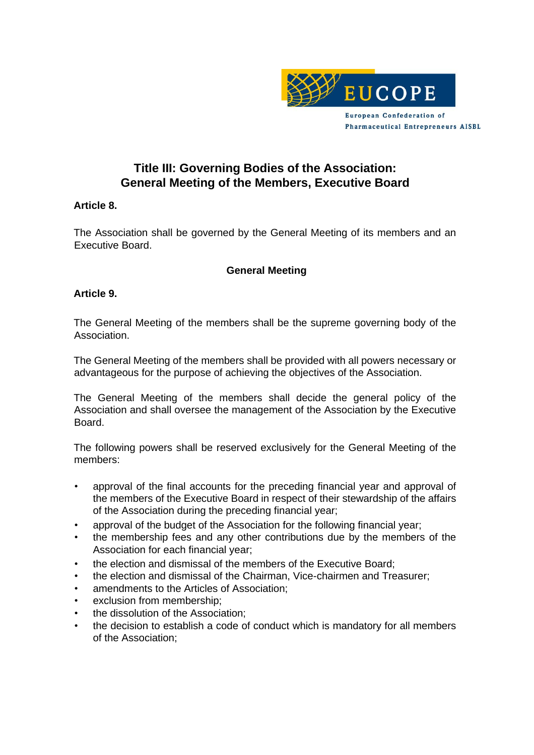

# **Title III: Governing Bodies of the Association: General Meeting of the Members, Executive Board**

# **Article 8.**

The Association shall be governed by the General Meeting of its members and an Executive Board.

#### **General Meeting**

#### **Article 9.**

The General Meeting of the members shall be the supreme governing body of the Association.

The General Meeting of the members shall be provided with all powers necessary or advantageous for the purpose of achieving the objectives of the Association.

The General Meeting of the members shall decide the general policy of the Association and shall oversee the management of the Association by the Executive Board.

The following powers shall be reserved exclusively for the General Meeting of the members:

- approval of the final accounts for the preceding financial year and approval of the members of the Executive Board in respect of their stewardship of the affairs of the Association during the preceding financial year;
- approval of the budget of the Association for the following financial year;
- the membership fees and any other contributions due by the members of the Association for each financial year;
- the election and dismissal of the members of the Executive Board;
- the election and dismissal of the Chairman, Vice-chairmen and Treasurer;
- amendments to the Articles of Association;
- exclusion from membership;
- the dissolution of the Association;
- the decision to establish a code of conduct which is mandatory for all members of the Association;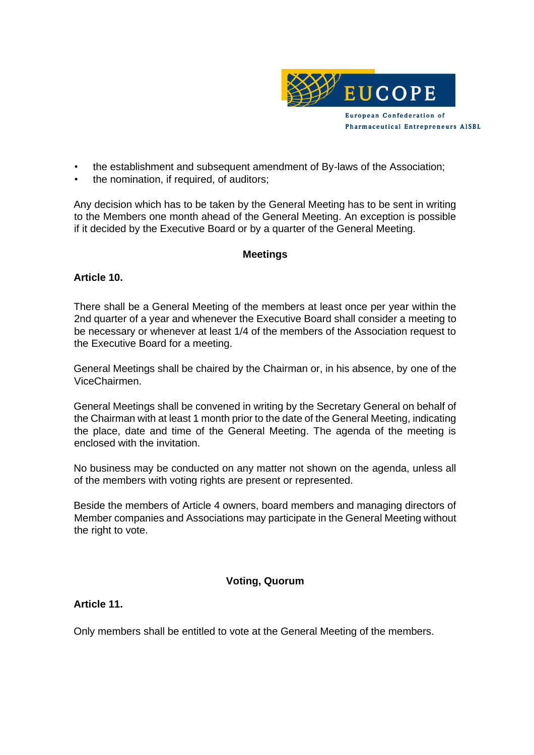

- the establishment and subsequent amendment of By-laws of the Association;
- the nomination, if required, of auditors;

Any decision which has to be taken by the General Meeting has to be sent in writing to the Members one month ahead of the General Meeting. An exception is possible if it decided by the Executive Board or by a quarter of the General Meeting.

# **Meetings**

# **Article 10.**

There shall be a General Meeting of the members at least once per year within the 2nd quarter of a year and whenever the Executive Board shall consider a meeting to be necessary or whenever at least 1/4 of the members of the Association request to the Executive Board for a meeting.

General Meetings shall be chaired by the Chairman or, in his absence, by one of the ViceChairmen.

General Meetings shall be convened in writing by the Secretary General on behalf of the Chairman with at least 1 month prior to the date of the General Meeting, indicating the place, date and time of the General Meeting. The agenda of the meeting is enclosed with the invitation.

No business may be conducted on any matter not shown on the agenda, unless all of the members with voting rights are present or represented.

Beside the members of Article 4 owners, board members and managing directors of Member companies and Associations may participate in the General Meeting without the right to vote.

# **Voting, Quorum**

# **Article 11.**

Only members shall be entitled to vote at the General Meeting of the members.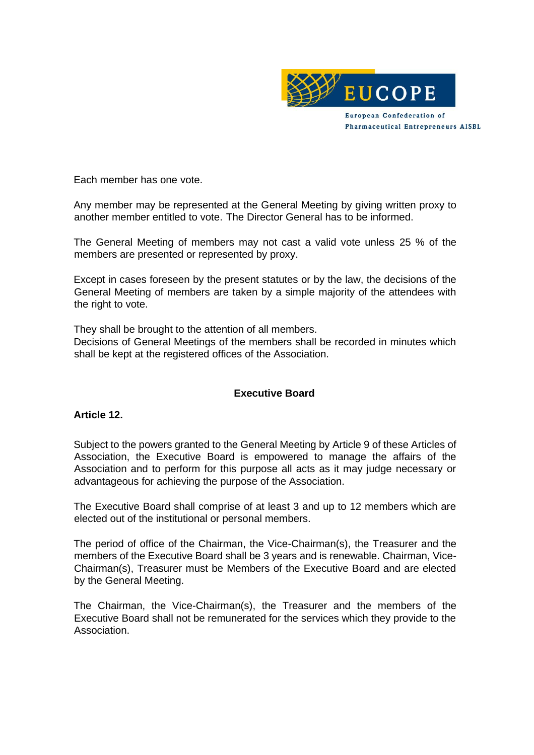

Each member has one vote.

Any member may be represented at the General Meeting by giving written proxy to another member entitled to vote. The Director General has to be informed.

The General Meeting of members may not cast a valid vote unless 25 % of the members are presented or represented by proxy.

Except in cases foreseen by the present statutes or by the law, the decisions of the General Meeting of members are taken by a simple majority of the attendees with the right to vote.

They shall be brought to the attention of all members.

Decisions of General Meetings of the members shall be recorded in minutes which shall be kept at the registered offices of the Association.

# **Executive Board**

# **Article 12.**

Subject to the powers granted to the General Meeting by Article 9 of these Articles of Association, the Executive Board is empowered to manage the affairs of the Association and to perform for this purpose all acts as it may judge necessary or advantageous for achieving the purpose of the Association.

The Executive Board shall comprise of at least 3 and up to 12 members which are elected out of the institutional or personal members.

The period of office of the Chairman, the Vice-Chairman(s), the Treasurer and the members of the Executive Board shall be 3 years and is renewable. Chairman, Vice-Chairman(s), Treasurer must be Members of the Executive Board and are elected by the General Meeting.

The Chairman, the Vice-Chairman(s), the Treasurer and the members of the Executive Board shall not be remunerated for the services which they provide to the Association.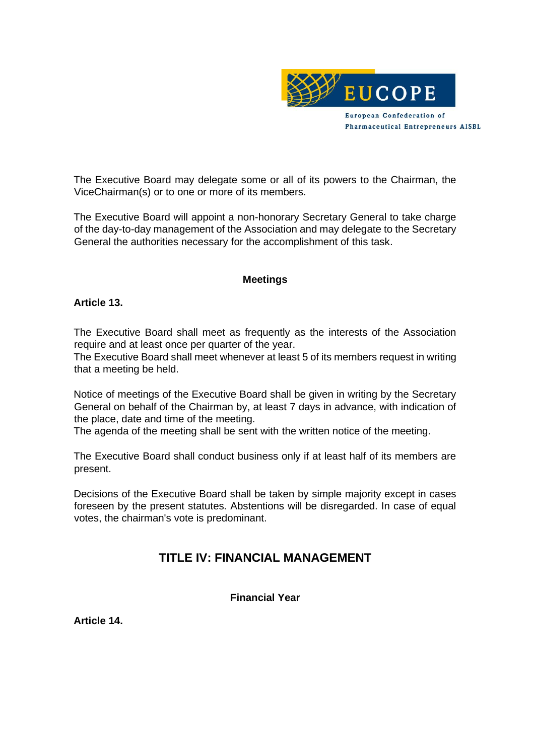

The Executive Board may delegate some or all of its powers to the Chairman, the ViceChairman(s) or to one or more of its members.

The Executive Board will appoint a non-honorary Secretary General to take charge of the day-to-day management of the Association and may delegate to the Secretary General the authorities necessary for the accomplishment of this task.

#### **Meetings**

#### **Article 13.**

The Executive Board shall meet as frequently as the interests of the Association require and at least once per quarter of the year.

The Executive Board shall meet whenever at least 5 of its members request in writing that a meeting be held.

Notice of meetings of the Executive Board shall be given in writing by the Secretary General on behalf of the Chairman by, at least 7 days in advance, with indication of the place, date and time of the meeting.

The agenda of the meeting shall be sent with the written notice of the meeting.

The Executive Board shall conduct business only if at least half of its members are present.

Decisions of the Executive Board shall be taken by simple majority except in cases foreseen by the present statutes. Abstentions will be disregarded. In case of equal votes, the chairman's vote is predominant.

# **TITLE IV: FINANCIAL MANAGEMENT**

**Financial Year** 

**Article 14.**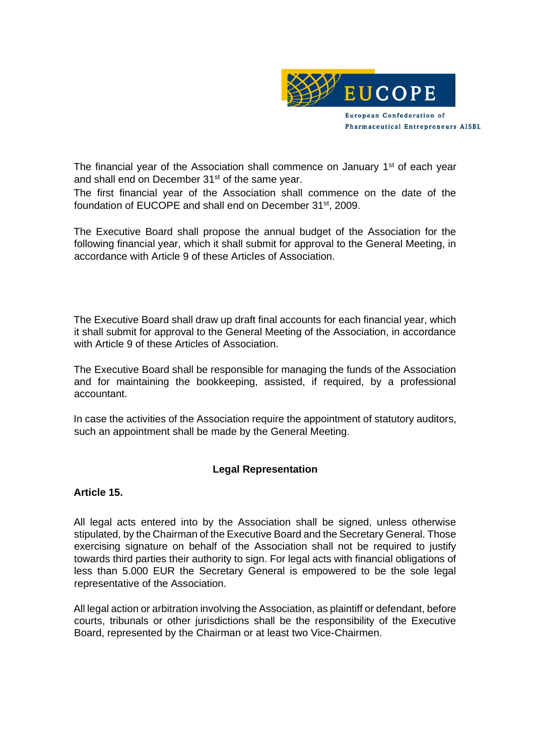

The financial year of the Association shall commence on January 1<sup>st</sup> of each year and shall end on December 31<sup>st</sup> of the same year.

The first financial year of the Association shall commence on the date of the foundation of EUCOPE and shall end on December 31st, 2009.

The Executive Board shall propose the annual budget of the Association for the following financial year, which it shall submit for approval to the General Meeting, in accordance with Article 9 of these Articles of Association.

The Executive Board shall draw up draft final accounts for each financial year, which it shall submit for approval to the General Meeting of the Association, in accordance with Article 9 of these Articles of Association.

The Executive Board shall be responsible for managing the funds of the Association and for maintaining the bookkeeping, assisted, if required, by a professional accountant.

In case the activities of the Association require the appointment of statutory auditors, such an appointment shall be made by the General Meeting.

# **Legal Representation**

#### **Article 15.**

All legal acts entered into by the Association shall be signed, unless otherwise stipulated, by the Chairman of the Executive Board and the Secretary General. Those exercising signature on behalf of the Association shall not be required to justify towards third parties their authority to sign. For legal acts with financial obligations of less than 5.000 EUR the Secretary General is empowered to be the sole legal representative of the Association.

All legal action or arbitration involving the Association, as plaintiff or defendant, before courts, tribunals or other jurisdictions shall be the responsibility of the Executive Board, represented by the Chairman or at least two Vice-Chairmen.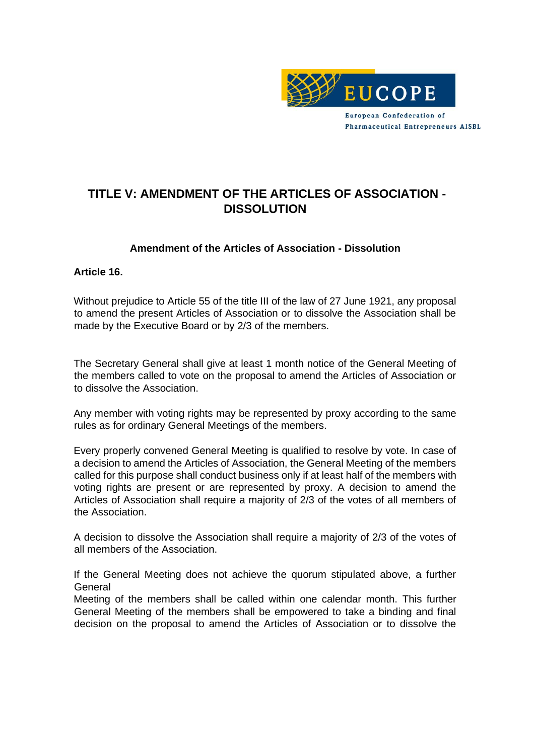

# **TITLE V: AMENDMENT OF THE ARTICLES OF ASSOCIATION - DISSOLUTION**

# **Amendment of the Articles of Association - Dissolution**

#### **Article 16.**

Without prejudice to Article 55 of the title III of the law of 27 June 1921, any proposal to amend the present Articles of Association or to dissolve the Association shall be made by the Executive Board or by 2/3 of the members.

The Secretary General shall give at least 1 month notice of the General Meeting of the members called to vote on the proposal to amend the Articles of Association or to dissolve the Association.

Any member with voting rights may be represented by proxy according to the same rules as for ordinary General Meetings of the members.

Every properly convened General Meeting is qualified to resolve by vote. In case of a decision to amend the Articles of Association, the General Meeting of the members called for this purpose shall conduct business only if at least half of the members with voting rights are present or are represented by proxy. A decision to amend the Articles of Association shall require a majority of 2/3 of the votes of all members of the Association.

A decision to dissolve the Association shall require a majority of 2/3 of the votes of all members of the Association.

If the General Meeting does not achieve the quorum stipulated above, a further General

Meeting of the members shall be called within one calendar month. This further General Meeting of the members shall be empowered to take a binding and final decision on the proposal to amend the Articles of Association or to dissolve the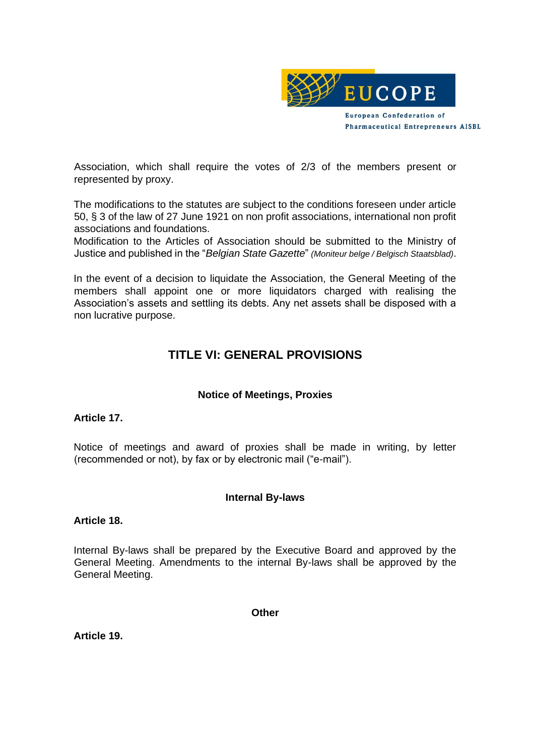

Association, which shall require the votes of 2/3 of the members present or represented by proxy.

The modifications to the statutes are subject to the conditions foreseen under article 50, § 3 of the law of 27 June 1921 on non profit associations, international non profit associations and foundations.

Modification to the Articles of Association should be submitted to the Ministry of Justice and published in the "*Belgian State Gazette*" *(Moniteur belge / Belgisch Staatsblad)*.

In the event of a decision to liquidate the Association, the General Meeting of the members shall appoint one or more liquidators charged with realising the Association's assets and settling its debts. Any net assets shall be disposed with a non lucrative purpose.

# **TITLE VI: GENERAL PROVISIONS**

# **Notice of Meetings, Proxies**

#### **Article 17.**

Notice of meetings and award of proxies shall be made in writing, by letter (recommended or not), by fax or by electronic mail ("e-mail").

#### **Internal By-laws**

#### **Article 18.**

Internal By-laws shall be prepared by the Executive Board and approved by the General Meeting. Amendments to the internal By-laws shall be approved by the General Meeting.

**Other** 

**Article 19.**